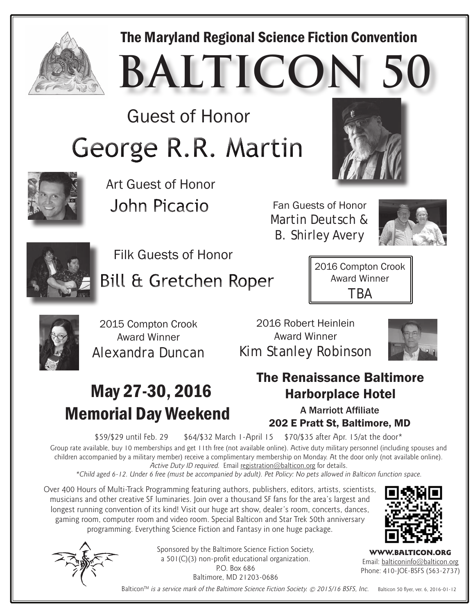

#### The Maryland Regional Science Fiction Convention

**BALTICON** 

Guest of Honor George R.R. Martin





Art Guest of Honor John Picacio

Fan Guests of Honor Martin Deutsch & B. Shirley Avery





Filk Guests of Honor

**Bill & Gretchen Roper** 

2016 Compton Crook Award Winner TBA



2015 Compton Crook Award Winner Alexandra Duncan

2016 Robert Heinlein Award Winner Kim Stanley Robinson



### May 27-30, 2016 Memorial Day Weekend



#### The Renaissance Baltimore Harborplace Hotel

A Marriott Affiliate 202 E Pratt St, Baltimore, MD

\$59/\$29 until Feb. 29 \$64/\$32 March 1-April 15 \$70/\$35 after Apr. 15/at the door\*

Group rate available, buy 10 memberships and get 11th free (not available online). Active duty military personnel (including spouses and children accompanied by a military member) receive a complimentary membership on Monday. At the door only (not available online). Active Duty ID required. Email registration@balticon.org for details.

\*Child aged 6-12. Under 6 free (must be accompanied by adult). Pet Policy: No pets allowed in Balticon function space.

Over 400 Hours of Multi-Track Programming featuring authors, publishers, editors, artists, scientists, musicians and other creative SF luminaries. Join over a thousand SF fans for the area's largest and longest running convention of its kind! Visit our huge art show, dealer's room, concerts, dances, gaming room, computer room and video room. Special Balticon and Star Trek 50th anniversary programming. Everything Science Fiction and Fantasy in one huge package.



Sponsored by the Baltimore Science Fiction Society, a 501(C)(3) non-profit educational organization. P.O. Box 686

Baltimore, MD 21203-0686



WWW.BALTICON.ORG Email: balticoninfo@balticon.org Phone: 410-JOE-BSFS (563-2737)

Balticon<sup>™</sup> is a service mark of the Baltimore Science Fiction Society. © 2015/16 BSFS, Inc. Balticon 50 flyer, ver. 6, 2016-01-12